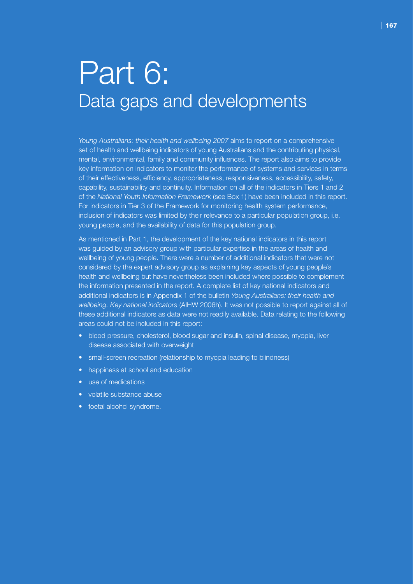# Part 6: Data gaps and developments

*Young Australians: their health and wellbeing 2007* aims to report on a comprehensive set of health and wellbeing indicators of young Australians and the contributing physical, mental, environmental, family and community influences. The report also aims to provide key information on indicators to monitor the performance of systems and services in terms of their effectiveness, efficiency, appropriateness, responsiveness, accessibility, safety, capability, sustainability and continuity. Information on all of the indicators in Tiers 1 and 2 of the *National Youth Information Framework* (see Box 1) have been included in this report. For indicators in Tier 3 of the Framework for monitoring health system performance, inclusion of indicators was limited by their relevance to a particular population group, i.e. young people, and the availability of data for this population group.

As mentioned in Part 1, the development of the key national indicators in this report was guided by an advisory group with particular expertise in the areas of health and wellbeing of young people. There were a number of additional indicators that were not considered by the expert advisory group as explaining key aspects of young people's health and wellbeing but have nevertheless been included where possible to complement the information presented in the report. A complete list of key national indicators and additional indicators is in Appendix 1 of the bulletin *Young Australians: their health and wellbeing. Key national indicators* (AIHW 2006h). It was not possible to report against all of these additional indicators as data were not readily available. Data relating to the following areas could not be included in this report:

- blood pressure, cholesterol, blood sugar and insulin, spinal disease, myopia, liver disease associated with overweight
- small-screen recreation (relationship to myopia leading to blindness)
- happiness at school and education
- use of medications
- volatile substance abuse
- foetal alcohol syndrome.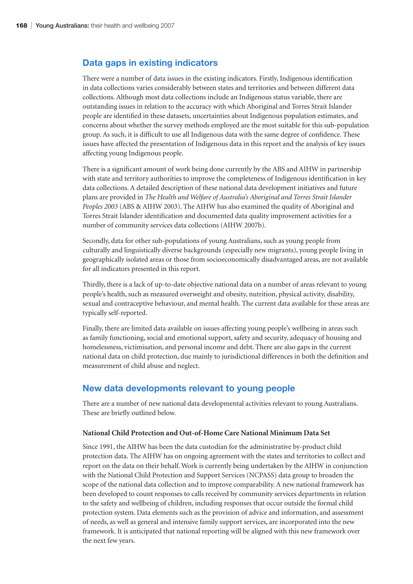# **Data gaps in existing indicators**

There were a number of data issues in the existing indicators. Firstly, Indigenous identification in data collections varies considerably between states and territories and between different data collections. Although most data collections include an Indigenous status variable, there are outstanding issues in relation to the accuracy with which Aboriginal and Torres Strait Islander people are identified in these datasets, uncertainties about Indigenous population estimates, and concerns about whether the survey methods employed are the most suitable for this sub-population group. As such, it is difficult to use all Indigenous data with the same degree of confidence. These issues have affected the presentation of Indigenous data in this report and the analysis of key issues affecting young Indigenous people.

There is a significant amount of work being done currently by the ABS and AIHW in partnership with state and territory authorities to improve the completeness of Indigenous identification in key data collections. A detailed description of these national data development initiatives and future plans are provided in *The Health and Welfare of Australia's Aboriginal and Torres Strait Islander Peoples 2003* (ABS & AIHW 2003). The AIHW has also examined the quality of Aboriginal and Torres Strait Islander identification and documented data quality improvement activities for a number of community services data collections (AIHW 2007b).

Secondly, data for other sub-populations of young Australians, such as young people from culturally and linguistically diverse backgrounds (especially new migrants), young people living in geographically isolated areas or those from socioeconomically disadvantaged areas, are not available for all indicators presented in this report.

Thirdly, there is a lack of up-to-date objective national data on a number of areas relevant to young people's health, such as measured overweight and obesity, nutrition, physical activity, disability, sexual and contraceptive behaviour, and mental health. The current data available for these areas are typically self-reported.

Finally, there are limited data available on issues affecting young people's wellbeing in areas such as family functioning, social and emotional support, safety and security, adequacy of housing and homelessness, victimisation, and personal income and debt. There are also gaps in the current national data on child protection, due mainly to jurisdictional differences in both the definition and measurement of child abuse and neglect.

# **New data developments relevant to young people**

There are a number of new national data developmental activities relevant to young Australians. These are briefly outlined below.

#### **National Child Protection and Out-of-Home Care National Minimum Data Set**

Since 1991, the AIHW has been the data custodian for the administrative by-product child protection data. The AIHW has on ongoing agreement with the states and territories to collect and report on the data on their behalf. Work is currently being undertaken by the AIHW in conjunction with the National Child Protection and Support Services (NCPASS) data group to broaden the scope of the national data collection and to improve comparability. A new national framework has been developed to count responses to calls received by community services departments in relation to the safety and wellbeing of children, including responses that occur outside the formal child protection system. Data elements such as the provision of advice and information, and assessment of needs, as well as general and intensive family support services, are incorporated into the new framework. It is anticipated that national reporting will be aligned with this new framework over the next few years.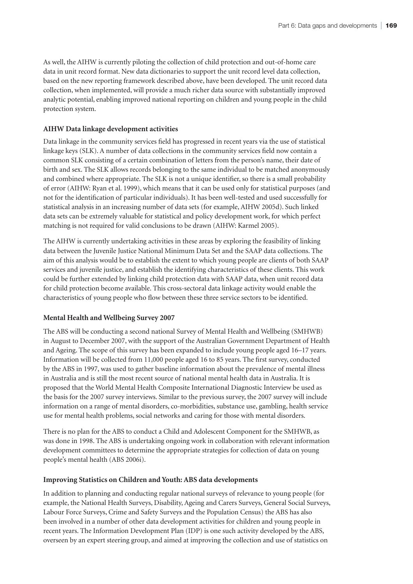As well, the AIHW is currently piloting the collection of child protection and out-of-home care data in unit record format. New data dictionaries to support the unit record level data collection, based on the new reporting framework described above, have been developed. The unit record data collection, when implemented, will provide a much richer data source with substantially improved analytic potential, enabling improved national reporting on children and young people in the child protection system.

## **AIHW Data linkage development activities**

Data linkage in the community services field has progressed in recent years via the use of statistical linkage keys (SLK). A number of data collections in the community services field now contain a common SLK consisting of a certain combination of letters from the person's name, their date of birth and sex. The SLK allows records belonging to the same individual to be matched anonymously and combined where appropriate. The SLK is not a unique identifier, so there is a small probability of error (AIHW: Ryan et al. 1999), which means that it can be used only for statistical purposes (and not for the identification of particular individuals). It has been well-tested and used successfully for statistical analysis in an increasing number of data sets (for example, AIHW 2005d). Such linked data sets can be extremely valuable for statistical and policy development work, for which perfect matching is not required for valid conclusions to be drawn (AIHW: Karmel 2005).

The AIHW is currently undertaking activities in these areas by exploring the feasibility of linking data between the Juvenile Justice National Minimum Data Set and the SAAP data collections. The aim of this analysis would be to establish the extent to which young people are clients of both SAAP services and juvenile justice, and establish the identifying characteristics of these clients. This work could be further extended by linking child protection data with SAAP data, when unit record data for child protection become available. This cross-sectoral data linkage activity would enable the characteristics of young people who flow between these three service sectors to be identified.

### **Mental Health and Wellbeing Survey 2007**

The ABS will be conducting a second national Survey of Mental Health and Wellbeing (SMHWB) in August to December 2007, with the support of the Australian Government Department of Health and Ageing. The scope of this survey has been expanded to include young people aged 16–17 years. Information will be collected from 11,000 people aged 16 to 85 years. The first survey, conducted by the ABS in 1997, was used to gather baseline information about the prevalence of mental illness in Australia and is still the most recent source of national mental health data in Australia. It is proposed that the World Mental Health Composite International Diagnostic Interview be used as the basis for the 2007 survey interviews. Similar to the previous survey, the 2007 survey will include information on a range of mental disorders, co-morbidities, substance use, gambling, health service use for mental health problems, social networks and caring for those with mental disorders.

There is no plan for the ABS to conduct a Child and Adolescent Component for the SMHWB, as was done in 1998. The ABS is undertaking ongoing work in collaboration with relevant information development committees to determine the appropriate strategies for collection of data on young people's mental health (ABS 2006i).

### **Improving Statistics on Children and Youth: ABS data developments**

In addition to planning and conducting regular national surveys of relevance to young people (for example, the National Health Surveys, Disability, Ageing and Carers Surveys, General Social Surveys, Labour Force Surveys, Crime and Safety Surveys and the Population Census) the ABS has also been involved in a number of other data development activities for children and young people in recent years. The Information Development Plan (IDP) is one such activity developed by the ABS, overseen by an expert steering group, and aimed at improving the collection and use of statistics on